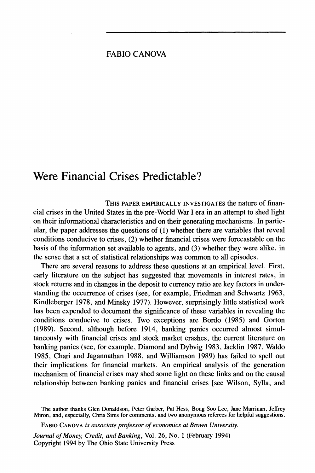## **FABIO CANOVA**

# **Were Financial Crises Predictable?**

**THIS PAPER EMPIRICALLY INVESTIGATES the nature of financial crises in the United States in the pre-World War I era in an attempt to shed light on their inforrnational characteristics and on their generating mechanisms. In particular, the paper addresses the questions of (1) whether there are variables that reveal conditions conducive to crises, (2) whether financial crises were forecastable on the basis of the information set available to agents, and (3) whether they were alike, in the sense that a set of statistical relationships was common to all episodes.** 

**There are several reasons to address these questions at an empirical level. First, early literature on the subject has suggested that movements in interest rates, in stock returns and in changes in the deposit to currency ratio are key factors in understanding the occurrence of crises (see, for example, Friedman and Schwartz 1963, Kindleberger 1978, and Minsky 1977). However, surprisingly little statistical work has been expended to document the significance of these variables in revealing the conditions conducive to crises. Two exceptions are Bordo (1985) and Gorton (1989). Second, although before 1914, banking panics occurred almost simultaneously with financial crises and stock market crashes, the current literature on banking panics (see, for example, Diamond and Dybvig 1983, Jacklin 1987, Waldo 1985, Chari and Jagannathan 1988, and Williamson 1989) has failed to spell out their implications for financial markets. An empirical analysis of the generation mechanism of financial crises may shed some light on these links and on the causal relationship between banking panics and financial crises [see Wilson, Sylla, and** 

FABIO CANOVA is associate professor of economics at Brown University.

**Journal of Money, Credit, and Banking, Vol. 26, No. 1 (February 1994) Copyright 1994 by The Ohio State University Press** 

The author thanks Glen Donaldson, Peter Garber, Pat Hess, Bong Soo Lee, Jane Marrinan, Jeffrey **Miron, and, especially, Chris Sims for comments, and two anonymous referees for helpful suggestions.**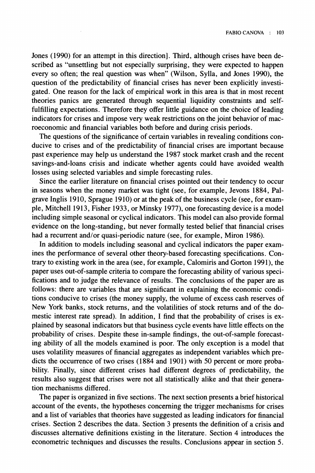**Jones (1990) for an attempt in this direction]. Third, although crises have been described as "unsettling but not especially surprising, they were expected to happen**  every so often; the real question was when" (Wilson, Sylla, and Jones 1990), the **question of the predictability of financial crises has never been explicitly investigated. One reason for the lack of empirical work in this area is that in most recent theories panics are generated through sequential liquidity constraints and selffulfilling expectations. Therefore they offer little guidance on the choice of leading indicators for crises and impose very weak restrictions on the joint behavior of macroeconomic and financial variables both before and during crisis periods.** 

**The questions of the significance of certain variables in revealing conditions conducive to crises and of the predictability of financial crises are important because past experience may help us understand the 1987 stock market crash and the recent savings-and-loans crisis and indicate whether agents could have avoided wealth losses using selected variables and simple forecasting rules.** 

**Since the earlier literature on financial crises pointed out their tendency to occur in seasons when the money market was tight (see, for example, Jevons 1884, Palgrave Inglis 1910, Sprague 1910) or at the peak of the business cycle (see, for example, Mitchell 1913, Fisher 1933, or Minsky 1977), one forecasting device is a model including simple seasonal or cyclical indicators. This model can also provide formal evidence on the long-standing, but never formally tested belief that financial crises had a recurrent and/or quasi-periodic nature (see, for example, Miron 1986).** 

**In addition to models including seasonal and cyclical indicators the paper examines the performance of several other theory-based forecasting specifications. Contrary to existing work in the area (see, for example, Calomiris and Gorton 1991), the paper uses out-of-sample criteria to compare the forecasting ability of various specifications and to judge the relevance of results. The conclusions of the paper are as follows: there are variables that are significant in explaining the economic conditions conducive to crises (the money supply, the volume of excess cash reserves of New York banks, stock returns, and the volatilities of stock returns and of the domestic interest rate spread). In addition, I find that the probability of crises is explained by seasonal indicators but that business cycle events have little effects on the probability of crises. Despite these in-sample findings, the out-of-sample forecasting ability of all the models examined is poor. The only exception is a model that uses volatility measures of financial aggregates as independent variables which predicts the occurrence of two crises (1884 and 1901) with 50 percent or more proba**bility. Finally, since different crises had different degrees of predictability, the **results also suggest that crises were not all statistically alike and that their generation mechanisms differed.** 

The paper is organized in five sections. The next section presents a brief historical **account of the events, the hypotheses concerning the trigger mechanisms for crises and a list of variables that theories have suggested as leading indicators for financial crises. Section 2 describes the data. Section 3 presents the definition of a crisis and discusses alternative definitions existing in the literature. Section 4 introduces the**  econometric techniques and discusses the results. Conclusions appear in section 5.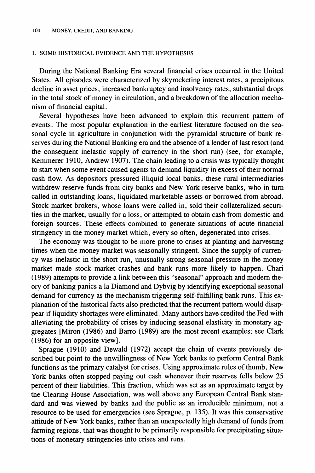### **1. SOME HISTORICAL EVIDENCE AND THE HYPOTHESES**

**During the National Banking Era several financial crises occurred in the United States. All episodes were characterized by skyrocketing interest rates, a precipitous decline in asset prices, increased bankruptcy and insolvency rates, substantial drops in the total stock of money in circulation, and a breakdown of the allocation mechanism of financial capital.** 

**Several hypotheses have been advanced to explain this recurrent pattern of events. The most popular explanation in the earliest literature focused on the seasonal cycle in agriculture in conjunction with the pyramidal structure of bank reserves during the National Banking era and the absence of a lender of last resort (and the consequent inelastic supply of currency in the short run) (see, for example, Kemmerer 1910, Andrew 1907). The chain leading to a crisis was typically thought to start when some event caused agents to demand liquidity in excess of their normal cash flow. As depositors pressured illiquid local banks, these rural intermediaries withdrew reserve funds from city banks and New York reserve banks, who in turn called in outstanding loans, liquidated marketable assets or borrowed from abroad. Stock market brokers, whose loans were called in, sold their collateralized securities in the market, usually for a loss, or attempted to obtain cash from domestic and foreign sources. These effects combined to generate situations of acute financial stringency in the money market which, every so often, degenerated into crises.** 

**The economy was thought to be more prone to crises at planting and harvesting times when the money market was seasonally stringent. Since the supply of currency was inelastic in the short run, unusually strong seasonal pressure in the money market made stock market crashes and bank runs more likely to happen. Chari (1989) attempts to provide a link between this "seasonal" approach and modern theory of banking panics a la Diamond and Dybvig by identifying exceptional seasonal demand for currency as the mechanism triggering self-fulfilling bank runs. This explanation of the historical facts also predicted that the recurrent pattern would disappear if liquidity shortages were eliminated. Many authors have credited the Fed with alleviating the probability of crises by inducing seasonal elasticity in monetary aggregates [Miron (1986) and Barro (1989) are the most recent examples; see Clark (1986) for an opposite view].** 

**Sprague (1910) and Dewald (1972) accept the chain of events previously described but point to the unwillingness of New York banks to perform Central Bank functions as the primary catalyst for crises. Using approximate rules of thumb, New York banks often stopped paying out cash whenever their reserves fells below 25 percent of their liabilities. This fraction, which was set as an approximate target by the Clearing House Association, was well above any European Central Bank stan**dard and was viewed by banks and the public as an irreducible minimum, not a **resource to be used for emergencies (see Sprague, p. 135). It was this conservative attitude of New York banks, rather than an unexpectedly high demand of funds from farming regions, that was thought to be primarily responsible for precipitating situations of monetary stringencies into crises and runs.**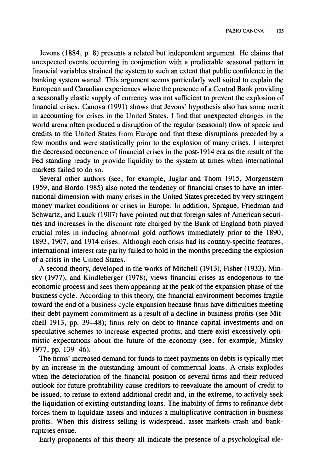**Jevons (1884, p. 8) presents a related but independent argument. He claims that unexpected events occurring in conjunction with a predictable seasonal pattern in financial variables strained the system to such an extent that public confidence in the banking system waned. This argument seems particularly well suited to explain the European and Canadian experiences where the presence of a Central Bank providing a seasonally elastic supply of currency was not sufficient to prevent the explosion of financial crises. Canova (1991) shows that Jevons' hypothesis also has some merit in accounting for crises in the United States. I find that unexpected changes in the world arena often produced a disruption of the regular (seasonal) flow of specie and credits to the United States from Europe and that these disruptions preceded by a few months and were statistically prior to the explosion of many crises. I interpret the decreased occurrence of financial crises in the post-1914 era as the result of the Fed standing ready to provide liquidity to the system at times when international markets failed to do so.** 

**Several other authors (see, for example, Juglar and Thom 1915, Morgenstern 1959, and Bordo 1985) also noted the tendency of financial crises to have an international dimension with many crises in the United States preceded by very stringent money market conditions or crises in Europe. In addition, Sprague, Friedman and Schwartz, and Lauck (1907) have pointed out that foreign sales of American securities and increases in the discount rate charged by the Bank of England both played crucial roles in inducing abnormal gold outflows immediately prior to the 1890, 1893, 1907, and 1914 crises. Although each crisis had its country-specific features, international interest rate parity failed to hold in the months preceding the explosion of a crisis in the United States.** 

**A second theory, developed in the works of Mitchell (1913), Fisher (1933), Minsky (1977), and Kindleberger (1978), views financial crises as endogenous to the economic process and sees them appearing at the peak of the expansion phase of the business cycle. According to this theory, the financial environment becomes fragile toward the end of a business cycle expansion because firms have difficulties meeting their debt payment commitment as a result of a decline in business profits (see Mitchell 1913, pp. 39-48); firms rely on debt to finance capital investments and on speculative schemes to increase expected profits; and there exist excessively optimistic expectations about the future of the economy (see, for example, Minsky 1977, pp. 139-46).** 

**The firms' increased demand for funds to meet payments on debts is typically met by an increase in the outstanding amount of commercial loans. A crisis explodes when the deterioration of the financial position of several firms and their reduced outlook for future profitability cause creditors to reevaluate the amount of credit to be issued, to refuse to extend additional credit and, in the extreme, to actively seek the liquidation of existing outstanding loans. The inability of firms to refinance debt forces them to liquidate assets and induces a multiplicative contraction in business profits. When this distress selling is widespread, asset markets crash and bankruptcies ensue.** 

**Early proponents of this theory all indicate the presence of a psychological ele-**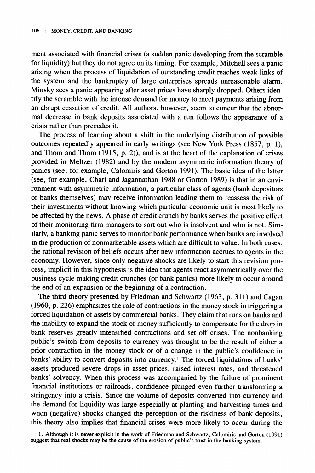**ment associated with financial crises (a sudden panic developing from the scramble for liquidity) but they do not agree on its timing. For example, Mitchell sees a panic arising when the process of liquidation of outstanding credit reaches weak links of the system and the bankruptcy of large enterprises spreads unreasonable alarm. Minsky sees a panic appearing after asset prices have sharply dropped. Others identify the scramble with the intense demand for money to meet payments arising from an abrupt cessation of credit. All authors, however, seem to concur that the abnormal decrease in bank deposits associated with a run follows the appearance of a crisis rather than precedes it.** 

**The process of learning about a shift in the underlying distribution of possible outcomes repeatedly appeared in early writings (see New York Press (1857, p. 1), and Thom and Thom (1915, p. 2)), and is at the heart of the explanation of crises provided in Meltzer (1982) and by the modern asymmetric information theory of panics (see, for example, Calomiris and Gorton 1991). The basic idea of the latter (see, for example, Chari and Jagannathan 1988 or Gorton 1989) is that in an environment with asymmetric information, a particular class of agents (bank depositors or banks themselves) may receive information leading them to reassess the risk of their investments without knowing which particular economic unit is most likely to be affected by the news. A phase of credit crunch by banks serves the positive effect of their monitoring firm managers to sort out who is insolvent and who is not. Similarly, a banking panic serves to monitor bank performance when banks are involved in the production of nonmarketable assets which are difficult to value. In both cases, the rational revision of beliefs occurs after new information accrues to agents in the economy. However, since only negative shocks are likely to start this revision process, implicit in this hypothesis is the idea that agents react asymmetrically over the business cycle making credit crunches (or bank panics) more likely to occur around the end of an expansion or the beginning of a contraction.** 

**The third theory presented by Friedman and Schwartz (1963, p. 311) and Cagan (1960, p. 226) emphasizes the role of contractions in the money stock in triggering a forced liquidation of assets by commercial banks. They claim that runs on banks and the inability to expand the stock of money sufficiently to compensate for the drop in**  bank reserves greatly intensified contractions and set off crises. The nonbanking **public's switch from deposits to currency was thought to be the result of either a prior contraction in the money stock or of a change in the public's confidence in**  banks' ability to convert deposits into currency.<sup>1</sup> The forced liquidations of banks' **assets produced severe drops in asset prices, raised interest rates, and threatened banks' solvency. When this process was accompanied by the failure of prominent financial institutions or railroads, confidence plunged even further transforming a stringency into a crisis. Since the volume of deposits converted into currency and the demand for liquidity was large especially at planting and harvesting times and when (negative) shocks changed the perception of the riskiness of bank deposits, this theory also implies that financial crises were more likely to occur during the** 

**1. Although it is never explicit in the work of Friedman and Schwartz, Calomiris and Gorton (1991) suggest that real shocks may be the cause of the erosion of public's trust in the banking system.**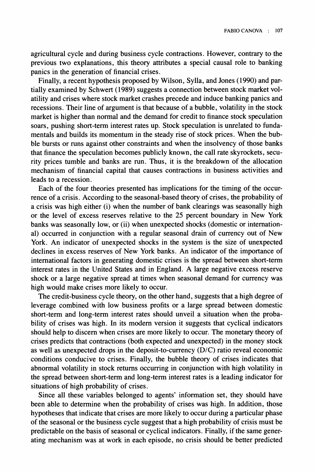**agricultural cycle and during business cycle contractions. However, contrary to the previous two explanations, this theory attributes a special causal role to banking panics in the generation of financial crises.** 

**Finally, a recent hypothesis proposed by Wilson, Sylla, and Jones ( 1990) and partially examined by Schwert (1989) suggests a connection between stock market volatility and crises where stock market crashes precede and induce banking panics and recessions. Their line of argument is that because of a bubble, volatility in the stock market is higher than normal and the demand for credit to finance stock speculation soars, pushing short-term interest rates up. Stock speculation is unrelated to fundamentals and builds its momentum in the steady rise of stock prices. When the bubble bursts or runs against other constraints and when the insolvency of those banks that finance the speculation becomes publicly known, the call rate skyrockets, security prices tumble and banks are run. Thus, it is the breakdown of the allocation mechanism of financial capital that causes contractions in business activities and leads to a recession.** 

**Each of the four theories presented has implications for the timing of the occurrence of a crisis. According to the seasonal-based theory of crises, the probability of a crisis was high either (i) when the number of bank clearings was seasonally high or the level of excess reserves relative to the 25 percent boundary in New York banks was seasonally low, or (ii) when unexpected shocks (domestic or international) occurred in conjunction with a regular seasonal drain of currency out of New**  York. An indicator of unexpected shocks in the system is the size of unexpected **declines in excess reserves of New York banks. An indicator of the importance of international factors in generating domestic crises is the spread between short-term**  interest rates in the United States and in England. A large negative excess reserve **shock or a large negative spread at times when seasonal demand for currency was high would make crises more likely to occur.** 

**The credit-business cycle theory, on the other hand, suggests that a high degree of leverage combined with low business profits or a large spread between domestic short-term and long-term interest rates should unveil a situation when the probability of crises was high. In its modern version it suggests that cyclical indicators should help to discern when crises are more likely to occur. The monetary theory of crises predicts that contractions (both expected and unexpected) in the money stock as well as unexpected drops in the deposit-to-currency (D/C) ratio reveal economic conditions conducive to crises. Finally, the bubble theory of crises indicates that abnormal volatility in stock returns occurring in conjunction with high volatility in the spread between short-term and long-term interest rates is a leading indicator for situations of high probability of crises.** 

**Since all these variables belonged to agents' information set, they should have been able to determine when the probability of crises was high. In addition, those hypotheses that indicate that crises are more likely to occur during a particular phase of the seasonal or the business cycle suggest that a high probability of crisis must be**  predictable on the basis of seasonal or cyclical indicators. Finally, if the same gener**ating mechanism was at work in each episode, no crisis should be better predicted**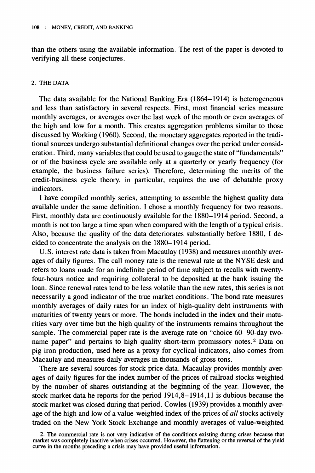**than the others using the available information. The rest of the paper is devoted to verifying all these conjectures.** 

#### **2. THE DATA**

**The data available for the National Banking Era (1864-1914) is heterogeneous and less than satisfactory in several respects. First, most financial series measure monthly averages, or averages over the last week of the month or even averages of the high and low for a month. This creates aggregation problems similar to those discussed by Working (1960). Second, the monetary aggregates reported in the traditional sources undergo substantial definitional changes over the period under consideration. Third, many variables that could be used to gauge the state of "fundamentals" or of the business cycle are available only at a quarterly or yearly frequency (for example, the business failure series). Therefore, determining the merits of the credit-business cycle theory, in particular, requires the use of debatable proxy . . . ndlcators.** 

**I have compiled monthly series, attempting to assemble the highest quality data available under the same definition. I chose a monthly frequency for two reasons. First, monthly data are continuously available for the 1880-1914 period. Second, a month is not too large a time span when compared with the length of a typical crisis. Also, because the quality of the data deteriorates substantially before 1880, I decided to concentrate the analysis on the 1880-1914 period.** 

**U.S. interest rate data is taken from Macaulay (1938) and measures monthly averages of daily figures. The call money rate is the renewal rate at the NYSE desk and refers to loans made for an indefinite period of time subject to recalls with twentyfour-hours notice and requiring collateral to be deposited at the bank issuing the loan. Since renewal rates tend to be less volatile than the new rates, this series is not necessarily a good indicator of the true market conditions. The bond rate measures monthly averages of daily rates for an index of high-quality debt instruments with maturities of twenty years or more. The bonds included in the index and their maturities vary over time but the high quality of the instruments remains throughout the sample. The commercial paper rate is the average rate on "choice 60-90-day twoname paper" and pertains to high quality short-term promissory notes.2 Data on pig iron production, used here as a proxy for cyclical indicators, also comes from Macaulay and measures daily averages in thousands of gross tons.** 

**There are several sources for stock price data. Macaulay provides monthly averages of daily figures for the index number of the prices of railroad stocks weighted by the number of shares outstanding at the beginning of the year. However, the stock market data he reports for the period 1914,8- 1914,11 is dubious because the stock market was closed during that period. Cowles (1939) provides a monthly average of the high and low of a value-weighted index of the prices of all stocks actively traded on the New York Stock Exchange and monthly averages of value-weighted** 

**<sup>2.</sup> The commercial rate is not very indicative of the conditions existing during crises because that market was completely inactive when crises occurred. However, the flattening or the reversal of the yield curve in the months preceding a crisis may have provided useful information.**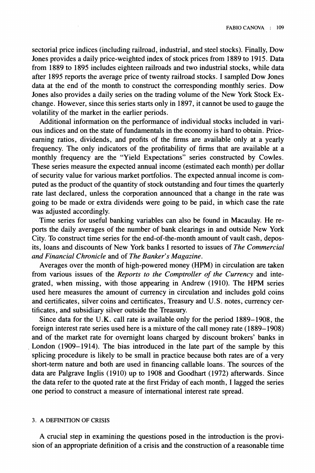**sectorial price indices (including railroad, industrial, and steel stocks). Finally, Dow Jones provides a daily price-weighted index of stock prices from 1889 to 1915. Data from 1889 to 1895 includes eighteen railroads and two industrial stocks, while data after 1895 reports the average price of twenty railroad stocks. I sampled Dow Jones data at the end of the month to construct the corresponding monthly series. Dow Jones also provides a daily series on the trading volume of the New York Stock Exchange. However, since this series starts only in 1897, it cannot be used to gauge the volatility of the market in the earlier periods.** 

**Additional information on the performance of individual stocks included in various indices and on the state of fundamentals in the economy is hard to obtain. Priceearning ratios, dividends, and profits of the firms are available only at a yearly frequency. The only indicators of the profitability of firms that are available at a monthly frequency are the "Yield Expectations" series constructed by Cowles. These series measure the expected annual income (estimated each month) per dollar of security value for various market portfolios. The expected annual income is computed as the product of the quantity of stock outstanding and four times the quarterly rate last declared, unless the corporation announced that a change in the rate was going to be made or extra dividends were going to be paid, in which case the rate was adjusted accordingly.** 

**Time series for useful banking variables can also be found in Macaulay. He reports the daily averages of the number of bank clearings in and outside New York City. To construct time series for the end-of-the-month amount of vault cash, deposits, loans and discounts of New York banks I resorted to issues of The Commercial and Financial Chronicle and of The Banker's Magazine.** 

**Averages over the month of high-powered money (HPM) in circulation are taken from various issues of the Reports to the Comptroller of the Currency and integrated, when missing, with those appearing in Andrew (1910). The HPM series used here measures the amount of currency in circulation and includes gold coins and certificates, silver coins and certificates, Treasury and U.S. notes, currency certificates, and subsidiary silver outside the Treasury.** 

**Since data for the U.K. call rate is available only for the period 1889-1908, the foreign interest rate series used here is a mixture of the call money rate (1889- 1908) and of the market rate for overnight loans charged by discount brokers' banks in London (1909-1914). The bias introduced in the late part of the sample by this splicing procedure is likely to be small in practice because both rates are of a very short-term nature and both are used in financing callable loans. The sources of the data are Palgrave Inglis (1910) up to 1908 and Goodhart (1972) afterwards. Since the data refer to the quoted rate at the first Friday of each month, I lagged the series one period to construct a measure of international interest rate spread.** 

#### **3. A DEFINITION OF CRISIS**

**A crucial step in examining the questions posed in the introduction is the provision of an appropriate definition of a crisis and the construction of a reasonable time**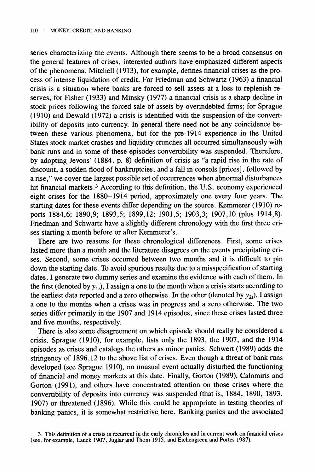**series characterizing the events. Although there seems to be a broad consensus on the general features of crises, interested authors have emphasized different aspects**  of the phenomena. Mitchell (1913), for example, defines financial crises as the pro**cess of intense liquidation of credit. For Friedman and Schwartz (1963) a financial crisis is a situation where banks are forced to sell assets at a loss to replenish reserves; for Fisher (1933) and Minsky (1977) a financial crisis is a sharp decline in stock prices following the forced sale of assets by overindebted firms; for Sprague (1910) and Dewald (1972) a crisis is identified with the suspension of the convertibility of deposits into currency. In general there need not be any coincidence between these various phenomena, but for the pre-1914 experience in the United States stock market crashes and liquidity crunches all occurred simultaneously with bank runs and in some of these episodes convertibility was suspended. Therefore, by adopting Jevons' (1884, p. 8) definition of crisis as "a rapid rise in the rate of discount, a sudden flood of bankruptcies, and a fall in consols [prices], followed by a rise," we cover the largest possible set of occurrences when abnormal disturbances hit financial markets.3 According to this definition, the U.S. economy experienced eight crises for the 1880-1914 period, approximately one every four years. The starting dates for these events differ depending on the source. Kemmerer (1910) reports 1884,6; 1890,9; 1893,5; 1899,12; 1901,5; 1903,3; 1907,10 (plus 1914,8). Friedman and Schwartz have a slightly different chronology with the first three crises starting a month before or after Kemmerer's.** 

**There are two reasons for these chronological differences. First, some crises lasted more than a month and the literature disagrees on the events precipitating crises. Second, some crises occurred between two months and it is difficult to pin down the starting date. To avoid spurious results due to a misspecification of starting dates, I generate two dummy series and examine the evidence with each of them. In**  the first (denoted by  $y_1$ ), I assign a one to the month when a crisis starts according to the earliest data reported and a zero otherwise. In the other (denoted by  $y_{2t}$ ), I assign **a one to the months when a crises was in progress and a zero otherwise. The two series differ primarily in the 1907 and 1914 episodes, since these crises lasted three and five months, respectively.** 

**There is also some disagreement on which episode should really be considered a crisis. Sprague (1910), for example, lists only the 1893, the 1907, and the 1914 episodes as crises and catalogs the others as minor panics. Schwert (1989) adds the stringency of 1896,12 to the above list of crises. Even though a threat of bank runs developed (see Sprague 1910), no unusual event actually disturbed the functioning of financial and money markets at this date. Finally, Gorton (1989), Calomiris and Gorton (1991), and others have concentrated attention on those crises where the convertibility of deposits into currency was suspended (that is, 1884, 1890, 1893,**  1907) or threatened (1896). While this could be appropriate in testing theories of **banking panics, it is somewhat restrictive here. Banking panics and the associated** 

**<sup>3.</sup> This definition of a crisis is recurrent in the early chronicles and in current work on financial crises (see, for example, Lauck 1907, Juglar and Thom 1915, and Eichengreen and Portes 1987).**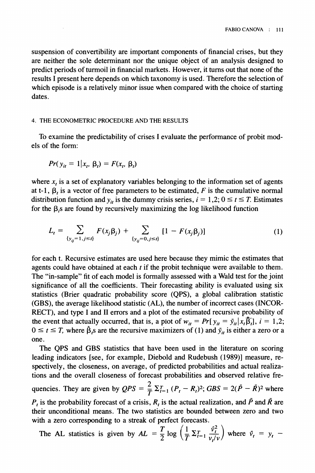**suspension of convertibility are important components of financial crises, but they are neither the sole determinant nor the unique object of an analysis designed to predict periods of turmoil in financial markets. However, it turns out that none of the results I present here depends on which taxonomy is used. Therefore the selection of which episode is a relatively minor issue when compared with the choice of starting dates.** 

#### **4. THE ECONOMETRIC PROCEDURE AND THE RESULTS**

**To examine the predictability of crises I evaluate the performance of probit models of the form:** 

$$
Pr(y_{it} = 1 | x_t, \beta_t) = F(x_t, \beta_t)
$$

where  $x_t$  is a set of explanatory variables belonging to the information set of agents at t-1,  $\beta_t$  is a vector of free parameters to be estimated, F is the cumulative normal distribution function and  $y_{it}$  is the dummy crisis series,  $i = 1,2; 0 \le t \le T$ . Estimates for the  $\beta_i$ s are found by recursively maximizing the log likelihood function

$$
L_{t} = \sum_{\{y_{ij} = 1, j \le t\}} F(x_{j} \beta_{j}) + \sum_{\{y_{ij} = 0, j \le t\}} [1 - F(x_{j} \beta_{j})]
$$
(1)

**for each t. Recursive estimates are used here because they mimic the estimates that agents could have obtained at each t if the probit technique were available to them. The "in-sample" fit of each model is formally assessed with a Wald test for the joint significance of all the coefficients. Their forecasting ability is evaluated using six statistics (Brier quadratic probability score (QPS), a global calibration statistic (GBS), the average likelihood statistic (AL), the number of incorrect cases (INCOR-RECT), and type I and II errors and a plot of the estimated recursive probability of**  the event that actually occurred, that is, a plot of  $w_{it} = Pr[y_{it} = \bar{y}_{it} | x_t \hat{\beta}_t], i = 1,2;$  $0 \le t \le T$ , where  $\hat{\beta}_r$ , are the recursive maximizers of (1) and  $\bar{y}_i$  is either a zero or a **one.** 

**The QPS and GBS statistics that have been used in the literature on scoring leading indicators [see, for example, Diebold and Rudebush (1989)] measure, respectively, the closeness, on average, of predicted probabilities and actual realizations and the overall closeness of forecast probabilities and observed relative fre**quencies. They are given by  $QPS = \frac{2}{T} \sum_{i=1}^{T} (P_i - R_i)^2$ ;  $GBS = 2(P_i - \bar{R})^2$  where  $P_t$  is the probability forecast of a crisis,  $R_t$  is the actual realization, and  $\bar{P}$  and  $\bar{R}$  are **their unconditional means. The two statistics are bounded between zero and two with a zero corresponding to a streak of perfect forecasts.** 

The AL statistics is given by 
$$
AL = \frac{T}{2} \log \left( \frac{1}{T} \sum_{i=1}^{T} \frac{\hat{v}_t^2}{v_t/v} \right)
$$
 where  $\hat{v}_t = y_t$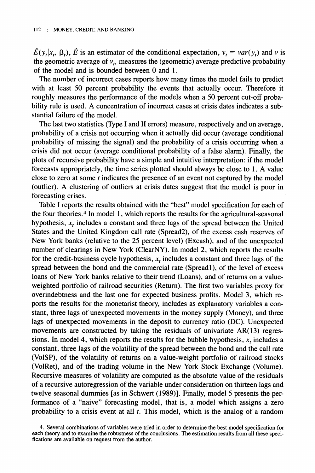$\hat{E}(y_t|x_t, \beta_t)$ ,  $\hat{E}$  is an estimator of the conditional expectation,  $v_t = var(y_t)$  and v is the geometric average of  $v<sub>t</sub>$ , measures the (geometric) average predictive probability **of the model and is bounded between O and 1.** 

**The number of incorrect cases reports how many times the model fails to predict with at least 50 percent probability the events that actually occur. Therefore it roughly measures the performance of the models when a 50 percent cut-off probability rule is used. A concentration of incorrect cases at crisis dates indicates a substantial failure of the model.** 

**The last two statistics (Type I and II errors) measure, respectively and on average, probability of a crisis not occurring when it actually did occur (average conditional probability of missing the signal) and the probability of a crisis occurring when a crisis did not occur (average conditional probability of a false alarm). Finally, the plots of recursive probability have a simple and intuitive interpretation: if the model forecasts appropriately, the time series plotted should always be close to 1. A value close to zero at some t indicates the presence of an event not captured by the model (outlier). A clustering of outliers at crisis dates suggest that the model is poor in forecasting crises.** 

**Table I reports the results obtained with the "best" model specification for each of the four theories.4 In model 1, which reports the results for the agricultural-seasonal hypothesis, x, includes a constant and three lags of the spread between the United States and the United Kingdom call rate (Spread2), of the excess cash reserves of New York banks (relative to the 25 percent level) (Excash), and of the unexpected number of clearings in New York (ClearNY). In model 2, which reports the results**  for the credit-business cycle hypothesis,  $x<sub>i</sub>$  includes a constant and three lags of the **spread between the bond and the commercial rate (Spreadl), of the level of excess loans of New York banks relative to their trend (Loans), and of returns on a valueweighted portfolio of railroad securities (Return). The first two variables proxy for overindebtness and the last one for expected business profits. Model 3, which reports the results for the monetarist theory, includes as explanatory variables a constant, three lags of unexpected movements in the money supply (Money), and three lags of unexpected movements in the deposit to currency ratio (DC). Unexpected movements are constructed by taking the residuals of univariate AR(13) regres**sions. In model 4, which reports the results for the bubble hypothesis,  $x_t$  includes a **constant, three lags of the volatility of the spread between the bond and the call rate (VolSP), of the volatility of returns on a value-weight portfolio of railroad stocks (VolRet), and of the trading volume in the New York Stock Exchange (Volume). Recursive measures of volatility are computed as the absolute value of the residuals of a recursive autoregression of the variable under consideration on thirteen lags and twelve seasonal dummies [as in Schwert (1989)]. Finally, model 5 presents the performance of a "naive" forecasting model, that is, a model which assigns a zero probability to a crisis event at all t. This model, which is the analog of a random** 

**<sup>4.</sup> Several combinations of variables were tried in order to determine the best model specification for each theory and to examine the robustness of the conclusions. The estimation results from all these specifications are available on request from the author.**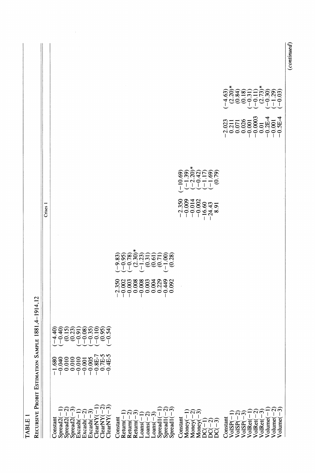| TABLE 1                                                                                                                                                                                                                                                                                                                                         |                                                                                                                    |                                                                                     |                                                                        |                                                                              |                                                                                                                                                                                                                                                                                                                                                                                                  |                                                                                                                                                     |                                                                                                                                                                                                                                                                                                                                                                                                                                                                                                           |             |  |
|-------------------------------------------------------------------------------------------------------------------------------------------------------------------------------------------------------------------------------------------------------------------------------------------------------------------------------------------------|--------------------------------------------------------------------------------------------------------------------|-------------------------------------------------------------------------------------|------------------------------------------------------------------------|------------------------------------------------------------------------------|--------------------------------------------------------------------------------------------------------------------------------------------------------------------------------------------------------------------------------------------------------------------------------------------------------------------------------------------------------------------------------------------------|-----------------------------------------------------------------------------------------------------------------------------------------------------|-----------------------------------------------------------------------------------------------------------------------------------------------------------------------------------------------------------------------------------------------------------------------------------------------------------------------------------------------------------------------------------------------------------------------------------------------------------------------------------------------------------|-------------|--|
| RECURSIVE PROBIT ESTIM                                                                                                                                                                                                                                                                                                                          | (ATION SAMPLE 1881, 4-1914, 12                                                                                     |                                                                                     |                                                                        |                                                                              |                                                                                                                                                                                                                                                                                                                                                                                                  |                                                                                                                                                     |                                                                                                                                                                                                                                                                                                                                                                                                                                                                                                           |             |  |
|                                                                                                                                                                                                                                                                                                                                                 |                                                                                                                    |                                                                                     |                                                                        | Crises 1                                                                     |                                                                                                                                                                                                                                                                                                                                                                                                  |                                                                                                                                                     |                                                                                                                                                                                                                                                                                                                                                                                                                                                                                                           |             |  |
| $-0.001$<br>$-0.005$<br>$-0.005$<br>$-0.715-5$<br>$-0.45-5$<br>$-0.040$<br>$0.010$<br>$0.010$<br>$-0.010$<br>$-1.680$<br><u>ှ</u><br>$\overline{a}$<br>$Spred2(-3)$<br>$\frac{\text{Excash}(-2)}{\text{Excash}(-3)}$<br>ClearNY(-1)<br>T<br>ೆ<br>$Excash(-1)$<br>ClearNY<br>ClearNY <sub>(</sub><br>Spread2(<br>Spread <sub>2</sub><br>Constant | $\begin{smallmatrix} 15 & 23 \\ -23 & 21 \\ -20 & -1 \end{smallmatrix}$<br>$-4.40$<br>$-0.40$<br>(0.95)<br>$-0.54$ |                                                                                     |                                                                        |                                                                              |                                                                                                                                                                                                                                                                                                                                                                                                  |                                                                                                                                                     |                                                                                                                                                                                                                                                                                                                                                                                                                                                                                                           |             |  |
| $\overline{-3}$<br>.<br>ا<br>$\begin{array}{l} {\rm Return}(-1) \\ {\rm Return}(-2) \\ {\rm Return}(-3) \end{array}$<br>$Spred1( - )$<br>$Loans(-1)$<br>$\frac{L\text{oans}(-2)}{L\text{oans}(-3)}$<br>Constant<br>Spread1<br>Spread1(                                                                                                          |                                                                                                                    | $-2.350$<br>$-0.002$<br>$-0.003$<br>$-0.008$<br>0.003<br>0.004<br>$-0.229$<br>0.092 | eses<br>1989<br>1999 - 1999<br>1999 - 1999<br>$\frac{(-1.00)}{(0.28)}$ |                                                                              |                                                                                                                                                                                                                                                                                                                                                                                                  |                                                                                                                                                     |                                                                                                                                                                                                                                                                                                                                                                                                                                                                                                           |             |  |
| $Money(-1)$<br>$M$ oney $(-2)$<br>Money $(-3)$<br>Constant<br>$DC(-2)$<br>$DC(-3)$<br>$DC(-3)$                                                                                                                                                                                                                                                  |                                                                                                                    |                                                                                     |                                                                        | $-2.350$<br>$-0.009$<br>$-0.014$<br>$-0.002$<br>$-16.60$<br>$-24.43$<br>8.91 | $\begin{array}{c} \n 1.33 \\  -1.33 \\  -1.53 \\  -1.53 \\  -1.53 \\  -1.53 \\  -1.53 \\  -1.53 \\  -1.53 \\  -1.53 \\  -1.53 \\  -1.53 \\  -1.53 \\  -1.53 \\  -1.53 \\  -1.53 \\  -1.53 \\  -1.53 \\  -1.53 \\  -1.53 \\  -1.53 \\  -1.53 \\  -1.53 \\  -1.53 \\  -1.53 \\  -1.53 \\  -1.53 \\  -1.53 \\  -1.53 \\  -1.53 \\  -1.53 \\  -1.53 \\  -1.53 \\  -1.53 \\  -1.53 \\  -$<br>$-10.69$ |                                                                                                                                                     |                                                                                                                                                                                                                                                                                                                                                                                                                                                                                                           |             |  |
| $Volume(-2)$<br>Volume $(-3)$<br>$Volume(-1)$<br>$VolRet(-3)$<br>$VolRet(-2)$<br>$VolSP(-1)$<br>$VolSP(-2)$<br>$V$ ol $SP(-3)$<br>$VolRet(-1)$<br>Constant                                                                                                                                                                                      |                                                                                                                    |                                                                                     |                                                                        |                                                                              |                                                                                                                                                                                                                                                                                                                                                                                                  | $-0.0003$<br>$-0.2E-4$<br>$-0.5E-4$<br>$-0.001$<br>$\begin{array}{r} -2.023 \\ 0.211 \\ 0.071 \\ 0.026 \\ -0.001 \end{array}$<br>$\overline{0}$ .01 | $\begin{array}{c} \left( \begin{array}{c} 0 \\ 0 \\ 0 \\ 0 \end{array} \right) = \left( \begin{array}{c} 0 \\ 0 \\ 0 \\ 0 \end{array} \right) = \left( \begin{array}{c} 0 \\ 0 \\ 0 \\ 0 \end{array} \right) = \left( \begin{array}{c} 0 \\ 0 \\ 0 \\ 0 \end{array} \right) = \left( \begin{array}{c} 0 \\ 0 \\ 0 \\ 0 \end{array} \right) = \left( \begin{array}{c} 0 \\ 0 \\ 0 \\ 0 \end{array} \right) = \left( \begin{array}{c} 0 \\ 0 \\ 0 \\ 0 \end{array} \right) = \left($<br>$(129)$<br>$(-129)$ |             |  |
|                                                                                                                                                                                                                                                                                                                                                 |                                                                                                                    |                                                                                     |                                                                        |                                                                              |                                                                                                                                                                                                                                                                                                                                                                                                  |                                                                                                                                                     |                                                                                                                                                                                                                                                                                                                                                                                                                                                                                                           | (continued) |  |
|                                                                                                                                                                                                                                                                                                                                                 |                                                                                                                    |                                                                                     |                                                                        |                                                                              |                                                                                                                                                                                                                                                                                                                                                                                                  |                                                                                                                                                     |                                                                                                                                                                                                                                                                                                                                                                                                                                                                                                           |             |  |
|                                                                                                                                                                                                                                                                                                                                                 |                                                                                                                    |                                                                                     |                                                                        |                                                                              |                                                                                                                                                                                                                                                                                                                                                                                                  |                                                                                                                                                     |                                                                                                                                                                                                                                                                                                                                                                                                                                                                                                           |             |  |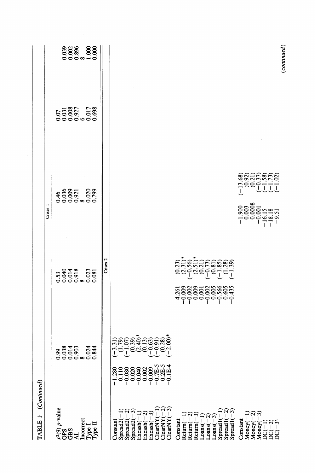| TABLE 1 (Continued)                                                                                                                                                                                                                                                                                                                                                                                                                                                                                                                          |                                                                                                                                                                                                                                                                                                                                                                                                                                                                                          |                                                                                                                                                                                                                                                                                                                                                                                                                                                                                                                                                                                                                                                                    |                                                                                                                                                                                                                 |                                            |                                 |
|----------------------------------------------------------------------------------------------------------------------------------------------------------------------------------------------------------------------------------------------------------------------------------------------------------------------------------------------------------------------------------------------------------------------------------------------------------------------------------------------------------------------------------------------|------------------------------------------------------------------------------------------------------------------------------------------------------------------------------------------------------------------------------------------------------------------------------------------------------------------------------------------------------------------------------------------------------------------------------------------------------------------------------------------|--------------------------------------------------------------------------------------------------------------------------------------------------------------------------------------------------------------------------------------------------------------------------------------------------------------------------------------------------------------------------------------------------------------------------------------------------------------------------------------------------------------------------------------------------------------------------------------------------------------------------------------------------------------------|-----------------------------------------------------------------------------------------------------------------------------------------------------------------------------------------------------------------|--------------------------------------------|---------------------------------|
|                                                                                                                                                                                                                                                                                                                                                                                                                                                                                                                                              |                                                                                                                                                                                                                                                                                                                                                                                                                                                                                          |                                                                                                                                                                                                                                                                                                                                                                                                                                                                                                                                                                                                                                                                    | Crises 1                                                                                                                                                                                                        |                                            |                                 |
| $x^2(9) p$ -value<br>QPS<br>GBS<br>AL<br>Incorrect<br>$\frac{Type\;I}{Type\;II}$                                                                                                                                                                                                                                                                                                                                                                                                                                                             | $\frac{0.034}{0.844}$<br>8838<br>00000<br>00000                                                                                                                                                                                                                                                                                                                                                                                                                                          | $0.53$<br>$0.014$<br>$0.038$<br>$0.081$<br>$0.081$                                                                                                                                                                                                                                                                                                                                                                                                                                                                                                                                                                                                                 | $6.388$<br>$0.303$<br>$0.303$<br>$0.303$<br>$0.799$                                                                                                                                                             | 0.07<br>0.0887<br>0.000.000.00<br>0.000.00 | 3386<br>0.003<br>0.008<br>0.000 |
|                                                                                                                                                                                                                                                                                                                                                                                                                                                                                                                                              |                                                                                                                                                                                                                                                                                                                                                                                                                                                                                          | Crises 2                                                                                                                                                                                                                                                                                                                                                                                                                                                                                                                                                                                                                                                           |                                                                                                                                                                                                                 |                                            |                                 |
| ှ<br>ု<br>ု<br>$\overline{1}$<br>$\begin{array}{l}{\rm \bf S} {\rm \bf pred2}(-2\\{\rm \bf S} {\rm \bf pred2}(-3\\{\rm \bf E} {\rm \bf x} {\rm \bf cal1}(-1)\\{\rm \bf E} {\rm \bf x} {\rm \bf calk}(-2)\\{\rm \bf E} {\rm \bf x} {\rm \bf calk}(-2)\\{\rm \bf E} {\rm \bf x} {\rm \bf calk}(-3)\end{array}$<br>ClearNY(<br>ClearNY(<br><b>ClearNY</b><br>Constant<br>Spread2(                                                                                                                                                               | $\begin{array}{l} \left(-1,0\right)\\ \left(-1,0\right)\\ \left(-1,0\right)\\ \left(-1,0\right)\\ \left(-1,0\right)\\ \left(-1,0\right)\\ \left(-1,0\right)\\ \left(-1,0\right)\\ \left(-1,0\right)\\ \left(-1,0\right)\\ \left(-1,0\right)\\ \left(-1,0\right)\\ \left(-1,0\right)\\ \left(-1,0\right)\\ \left(-1,0\right)\\ \left(-1,0\right)\\ \left(-1,0\right)\\ \left(-1,0\right)\\ \left(-1,0\right)\\ \left(-1,0\right)\\ \left(-1,0\right)\\ \left(-$<br>8288888FRH<br>°°°°°°°° |                                                                                                                                                                                                                                                                                                                                                                                                                                                                                                                                                                                                                                                                    |                                                                                                                                                                                                                 |                                            |                                 |
| ନ୍ନ<br>$\begin{array}{l} \text{Constant} \\ \text{Return}(-1) \\ \text{Return}(-2) \\ \text{Return}(-3) \\ \text{Learn}(-3) \\ \text{Data}(-1) \\ \text{Data}(-3) \\ \text{Data}(-1) \\ \text{Data}(-1) \\ \text{Speed1}(-1) \\ \text{Speed2} \\ \text{Speed3} \\ \text{Speed3} \\ \text{Speed4}(-3) \\ \text{Speed3} \\ \text{Speed4} \\ \text{Speed3} \\ \text{Speed4} \\ \text{Speed3} \\ \text{Speed4} \\ \text{Speed3} \\ \text{Speed4} \\ \text{Speed3} \\ \text{Speed4} \\ \text{Speed3} \\ \text{Speed4} \\ \text{Speed3} \\ \text{$ |                                                                                                                                                                                                                                                                                                                                                                                                                                                                                          | $\begin{array}{l} (0.3) \\ (0.3) \\ (1.4) \\ (0.5) \\ (1.5) \\ (0.6) \\ (0.6) \\ (0.6) \\ (0.6) \\ (0.6) \\ (0.6) \\ (0.6) \\ (0.7) \\ (0.8) \\ (0.8) \\ (0.9) \\ (0.9) \\ (0.9) \\ (0.9) \\ (0.9) \\ (0.9) \\ (0.9) \\ (0.9) \\ (0.9) \\ (0.9) \\ (0.9) \\ (0.9) \\ (0.9) \\ (0.9) \\ (0.9) \\ (0.9) \\ (0.9) \\ (0.9) \\ (0.9) \\ (0.9) \\ (0.$<br>$\begin{array}{l} 4.26 \\ 4.088 \\ 7.0988 \\ -1.09888 \\ -1.09888 \\ -1.09888 \\ -1.09888 \\ -1.09888 \\ -1.09888 \\ -1.09888 \\ -1.09888 \\ -1.09888 \\ -1.09888 \\ -1.09888 \\ -1.09888 \\ -1.09888 \\ -1.09888 \\ -1.09888 \\ -1.09888 \\ -1.09888 \\ -1.09888 \\ -1.09888 \\ -1.09888 \\ -1.09888 \\ -1.$ |                                                                                                                                                                                                                 |                                            |                                 |
| <u>ညီ</u><br>(၂<br>$\mathsf{I}$<br>Constant<br>$\begin{array}{l} \text{Money}(\text{-}\\\text{Money}(\text{-}1)\\ \text{DCC}\text{-}2)\\ \text{DCC}\text{-}3)\\ \text{DCC}\end{array}$<br>Money(                                                                                                                                                                                                                                                                                                                                             |                                                                                                                                                                                                                                                                                                                                                                                                                                                                                          |                                                                                                                                                                                                                                                                                                                                                                                                                                                                                                                                                                                                                                                                    | $\begin{array}{c} (-13.68) \\[-4pt] (-0.92) \\[-4pt] (-0.37) \\[-4pt] (-0.37) \\[-4pt] (-1.73) \\[-4pt] (-1.02) \end{array}$<br>$-1,900$<br>$0.003$<br>$0.0008$<br>$0.0001$<br>$-0.011$<br>$-1.8,18$<br>$-9.51$ |                                            | (continued)                     |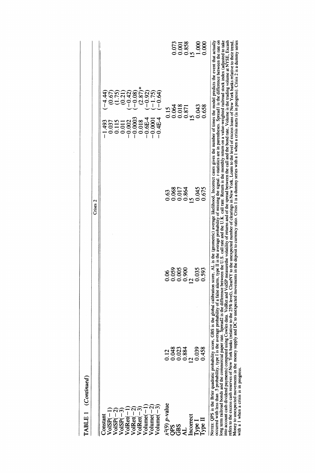| (Continued<br>$\overline{ }$<br>TABLE                                                                                                                |                                  |                                  |                                 |                                                                                                                                                                                                                                      |                                   |
|------------------------------------------------------------------------------------------------------------------------------------------------------|----------------------------------|----------------------------------|---------------------------------|--------------------------------------------------------------------------------------------------------------------------------------------------------------------------------------------------------------------------------------|-----------------------------------|
|                                                                                                                                                      |                                  |                                  | Crises 2                        |                                                                                                                                                                                                                                      |                                   |
| $Volume(-1)$<br>$Volume(-2)$<br>$Volume(-3)$<br>$VolRet(-1)$<br>ု<br>ှ<br>$VolSP(-1)$<br>$VolSP(-3)$<br>$VolSP(-2)$<br>Constant<br>VolRet(<br>VolRet |                                  |                                  |                                 | $(-0.08)$<br>(2.87)*<br>$(-1.75)$<br>$-0.64$<br>(175)<br>ປີ 21)<br>ປີ 21)<br>$-0.92$<br>$-4.44$<br>$-0.42$<br>(0.67)<br>$-0.0003$<br>$-0.6E-4$<br>$-0.0001$<br>$-0.4E-4$<br>0.115<br>0.018<br>$-1.493$<br>$-0.002$<br>0.011<br>0.037 |                                   |
| $x^2(9)$ p-value<br>ĞBS<br><b>OPS</b><br>ኋ                                                                                                           | 0.048<br>0.884<br>0.023<br>0.12  | 0.059<br>0.005<br>0.900<br>0.06  | 0.068<br>0.864<br>0.017<br>0.63 | 0.018<br>0.064<br>0.871<br>0.15                                                                                                                                                                                                      | 0.858<br>0.073                    |
| Incorrect<br>Type II<br>Type I                                                                                                                       | 0.039<br>0.458<br>$\overline{c}$ | 0.035<br>0.593<br>$\overline{2}$ | 0.045<br>0.675<br>$\tilde{c}$   | 0.043<br>0.658<br>$\overline{5}$                                                                                                                                                                                                     | 1.000<br>0.000<br>$\overline{15}$ |
|                                                                                                                                                      |                                  |                                  |                                 | Nores: QPS is the Brier quadratic probability score. GBS is the global calibration score. AL is the (geometric) average likelihood, Incorrect cases gives the number of times the model predicts the event that actually one         |                                   |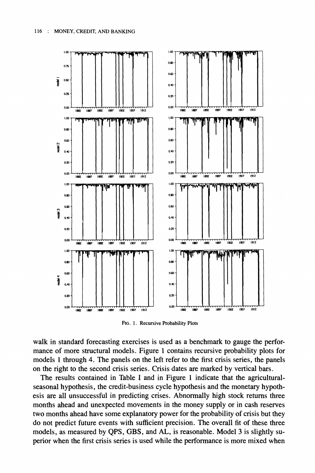

FIG. 1. Recursive Probability Plots

**walk in standard forecasting exercises is used as a benchmark to gauge the performance of more structural models. Figure 1 contains recursive probability plots for**  models 1 through 4. The panels on the left refer to the first crisis series, the panels **on the right to the second crisis series. Crisis dates are marked by vertical bars.** 

**The results contained in Table I and in Figure 1 indicate that the agriculturalseasonal hypothesis, the credit-business cycle hypothesis and the monetary hypothesis are all unsuccessful in predicting crises. Abnormally high stock returns three months ahead and unexpected movements in the money supply or in cash reserves two months ahead have some explanatory power for the probability of crisis but they do not predict future events with sufficient precision. The overall fit of these three**  models, as measured by QPS, GBS, and AL, is reasonable. Model 3 is slightly superior when the first crisis series is used while the performance is more mixed when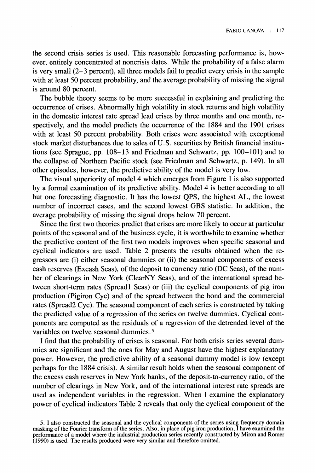**the second crisis series is used. This reasonable forecasting performance is, however, entirely concentrated at noncrisis dates. While the probability of a false alarm is very small (2-3 percent), all three models fail to predict every crisis in the sample with at least 50 percent probability, and the average probability of missing the signal is around 80 percent.** 

**The bubble theory seems to be more successful in explaining and predicting the occurrence of crises. Abnormally high volatility in stock returns and high volatility in the domestic interest rate spread lead crises by three months and one month, respectively, and the model predicts the occurrence of the 1884 and the 1901 crises with at least 50 percent probability. Both crises were associated with exceptional stock market disturbances due to sales of U.S. securities by British financial institutions (see Sprague, pp. 108-13 and Friedman and Schwartz, pp. 100-101) and to the collapse of Northern Pacific stock (see Friedman and Schwartz, p. 149). In all other episodes, however, the predictive ability of the model is very low.** 

**The visual superiority of model 4 which emerges from Figure 1 is also supported by a formal examination of its predictive ability. Model 4 is better according to all but one forecasting diagnostic. It has the lowest QPS, the highest AL, the lowest number of incorrect cases, and the second lowest GBS statistic. In addition, the average probability of missing the signal drops below 70 percent.** 

**Since the first two theories predict that crises are more likely to occur at particular points of the seasonal and of the business cycle, it is worthwhile to examine whether the predictive content of the first two models improves when specific seasonal and cyclical indicators are used. Table 2 presents the results obtained when the regressors are (i) either seasonal dummies or (ii) the seasonal components of excess cash reserves (Excash Seas), of the deposit to currency ratio (DC Seas), of the number of clearings in New York (ClearNY Seas), and of the international spread between short-term rates (Spreadl Seas) or (iii) the cyclical components of pig iron production (Pigiron Cyc) and of the spread between the bond and the commercial rates (Spread2 Cyc). The seasonal component of each series is constructed by taking the predicted value of a regression of the series on twelve dummies. Cyclical components are computed as the residuals of a regression of the detrended level of the variables on twelve seasonal dummies.5** 

**I find that the probability of crises is seasonal. For both crisis series several dummies are significant and the ones for May and August have the highest explanatory power. However, the predictive ability of a seasonal dummy model is low (except perhaps for the 1884 crisis). A similar result holds when the seasonal component of the excess cash reserves in New York banks, of the deposit-to-currency ratio, of the number of clearings in New York, and of the international interest rate spreads are used as independent variables in the regression. When I examine the explanatory power of cyclical indicators Table 2 reveals that only the cyclical component of the** 

**<sup>5.</sup> I also constructed the seasonal and the cyclical components of the series using frequency domain masking of the Fourier transform of the series. Also, in place of pig iron production, I have examined the performance of a model where the industrial production series recently constructed by Miron and Romer (1990) is used. The results produced were very similar and therefore omitted.**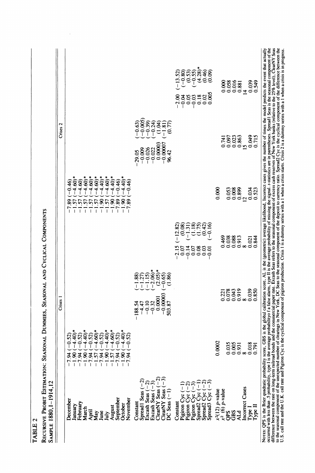$TABLE$ 

| ð<br>g.<br>$\overline{\phantom{a}}$<br>December<br>January                                                                                                                                                                                                                                            | Crises                                                                                                         |                                                                                                                                               |                                                                                                                                                                                                                                                                                                                                                                                                                                                                            | Criscs                                                                                                                                                |                                                                                                                                                          |
|-------------------------------------------------------------------------------------------------------------------------------------------------------------------------------------------------------------------------------------------------------------------------------------------------------|----------------------------------------------------------------------------------------------------------------|-----------------------------------------------------------------------------------------------------------------------------------------------|----------------------------------------------------------------------------------------------------------------------------------------------------------------------------------------------------------------------------------------------------------------------------------------------------------------------------------------------------------------------------------------------------------------------------------------------------------------------------|-------------------------------------------------------------------------------------------------------------------------------------------------------|----------------------------------------------------------------------------------------------------------------------------------------------------------|
| 8<br>8<br>z<br>57<br>इ<br>ន<br>z<br>$\overline{5}$<br>उ<br>5<br>7<br>$\overline{1}$<br>$\overline{1}$<br>ï<br>$\overline{\phantom{a}}$<br>$\overline{1}$<br>$\mathsf I$<br>$\mathsf I$<br>September<br>November<br>February<br>Constant<br>October<br>August<br>March<br>April<br>June<br>May<br>July | 188.54<br>$\ddot{=}$<br><u>້ຈຸລ</u> ິ<br>ີ້ \$ລີ<br>$\ddot{ }$<br>$\ddot{=}$<br>Ş<br>52)<br>52)<br>ଛି<br>ု     | $\ddot{\mathbf{3}}$                                                                                                                           | $\frac{1}{2}$<br>$40$ <sup>*</sup><br>$\ddot{8}$<br>$^{*}$ (0)<br>$\tilde{\mathbb{S}}$<br>$\ddot{\hat{8}}$<br>$\ddot{\hat{8}}$<br>$\ddot{=}$<br>ŝ<br>$\widehat{46}$<br>$\widehat{\mathbf{f}}$<br>$-0.46$<br>ې<br>$\overline{1}$<br>Ť<br>$\mathbf{I}$<br>8<br>89<br>89<br>æ.<br>g<br>89<br>252<br>57<br>5<br>5<br>7<br>$\mathbf I$<br>$\overline{1}$<br>$\mathbf{I}$<br>$\mathbf{I}$<br>$\overline{\phantom{a}}$<br>$\mathsf I$<br>$\overline{\phantom{a}}$<br>$\mathbf{I}$ | $-0.63$<br>$-29.05$                                                                                                                                   |                                                                                                                                                          |
| $\frac{1}{2}$ result Seas $(-2)$<br>Excash Seas $(-2)$<br>Excash Seas $(-3)$<br>ClearNY Seas $(-3)$<br>ClearNY Seas $(-3)$<br>DC Seas $(-1)$                                                                                                                                                          | $-0.00003$<br>0.0001<br>$-0.10$<br>$-0.32$<br>503.87<br>$-4.47$                                                | $rac{1}{2}$<br>$rac{1}{2}$<br>(1.86)<br>$\frac{5}{2}$<br>$(-0.65)$<br>$\tilde{z}$<br>$\overline{C}$<br>ī<br>ī                                 |                                                                                                                                                                                                                                                                                                                                                                                                                                                                            | $(-0.005)$<br>39)<br>$(-0.24)$<br>(1.04)<br>$\frac{1}{81}$<br>(0.77)<br>ို<br>L<br>0.00003<br>$-0.00007$<br>$-0.009$<br>$-0.026$<br>$-0.022$<br>96.42 |                                                                                                                                                          |
| Pigiron Cyc $(-1)$<br>Pigiron Cyc $(-2)$<br>Pigiron Cyc $(-3)$<br>Spread2 Cyc $(-1)$<br>Spread2 Cyc $(-2)$<br>Constant                                                                                                                                                                                |                                                                                                                | (0.08)<br>$(-1.31)$<br>(1.18)<br>$(-12.82)$<br>ିସ୍ଥି<br>ପ୍ର<br>$(-0.16)$<br>$\frac{2.15}{0.07}$<br>$-0.14$<br>0.08<br>0.03<br>0.07<br>$-0.01$ |                                                                                                                                                                                                                                                                                                                                                                                                                                                                            |                                                                                                                                                       | $\overline{(-0.55)}$<br>(4.28)*<br>$-13.52$<br>$(-0.80)$<br>(0.53)<br>(0.46)<br>(0.09)<br>0.005<br>0.05<br>$-0.03$<br>0.18<br>$-0.04$<br>0.02<br>$-2.00$ |
| $\infty$<br>Incorrect Cases<br>$x^2(12)$ p-value<br>$x^2$ (6) p-value<br>Type II<br>Type 1<br>GBS<br>ÅД<br>QPS                                                                                                                                                                                        | 0.919<br>0.039<br>0.850<br>0.078<br>0.043<br>0.221<br>œ<br>0.0002<br>0.035<br>0.005<br>0.018<br>0.931<br>0.791 | 0.469<br>0.038<br>0.088<br>0.913<br>0.021<br>0.844<br>$\infty$                                                                                | 0.000<br>0.053<br>0.899<br>0.008<br>0.034<br>0.523<br>$\overline{a}$                                                                                                                                                                                                                                                                                                                                                                                                       | 0.023<br>0.863<br>0.049<br>0.097<br>0.715<br>0.741<br>$\overline{15}$                                                                                 | 0.016<br>0.039<br>0.000<br>0.058<br>0.549<br>0.881<br>$\vec{r}$                                                                                          |
| Nores: QPS is the Brier quadratic probability score. GBS is the global calibration score. AL is the (geometric) average likelihood, Incorrect cases gives the number of times the model predicts the event that actually<br>occur                                                                     |                                                                                                                |                                                                                                                                               |                                                                                                                                                                                                                                                                                                                                                                                                                                                                            |                                                                                                                                                       |                                                                                                                                                          |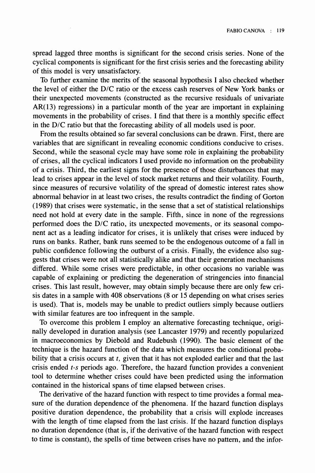**spread lagged three months is significant for the second crisis series. None of the cyclical components is significant for the first crisis series and the forecasting ability of this model is very unsatisfactory.** 

**To further examine the merits of the seasonal hypothesis I also checked whether the level of either the D/C ratio or the excess cash reserves of New York banks or their unexpected movements (constructed as the recursive residuals of univariate AR(13) regressions) in a particular month of the year are important in explaining movements in the probability of crises. I find that there is a monthly specific effect in the D/C ratio but that the forecasting ability of all models used is poor.** 

**From the results obtained so far several conclusions can be drawn. First, there are variables that are significant in revealing economic conditions conducive to crises. Second, while the seasonal cycle may have some role in explaining the probability of crises, all the cyclical indicators I used provide no information on the probability of a crisis. Third, the earliest signs for the presence of those disturbances that may lead to crises appear in the level of stock market returns and their volatility. Fourth, since measures of recursive volatility of the spread of domestic interest rates show abnormal behavior in at least two crises, the results contradict the finding of Gorton (1989) that crises were systematic, in the sense that a set of statistical relationships need not hold at every date in the sample. Fifth, since in none of the regressions performed does the D/C ratio, its unexpected movements, or its seasonal component act as a leading indicator for crises, it is unlikely that crises were induced by runs on banks. Rather, bank runs seemed to be the endogenous outcome of a fall in public confidence following the outburst of a crisis. Finally, the evidence also suggests that crises were not all statistically alike and that their generation mechanisms differed. While some crises were predictable, in other occasions no variable was capable of explaining or predicting the degeneration of stringencies into financial crises. This last result, however, may obtain simply because there are only few crisis dates in a sample with 408 observations (8 or 15 depending on what crises series is used). That is, models may be unable to predict outliers simply because outliers with similar features are too infrequent in the sample.** 

**To overcome this problem I employ an alternative forecasting technique, originally developed in duration analysis (see Lancaster 1979) and recently popularized in macroeconomics by Diebold and Rudebush (1990). The basic element of the technique is the hazard function of the data which measures the conditional proba**bility that a crisis occurs at *t*, given that it has not exploded earlier and that the last **crisis ended t-s periods ago. Therefore, the hazard function provides a convenient tool to determine whether crises could have been predicted using the information contained in the historical spans of time elapsed between crises.** 

**The derivative of the hazard function with respect to time provides a formal measure of the duration dependence of the phenomena. If the hazard function displays positive duration dependence, the probability that a crisis will explode increases with the length of time elapsed from the last crisis. If the hazard function displays no duration dependence (that is, if the derivative of the hazard function with respect to time is constant), the spells of time between crises have no pattern, and the infor-**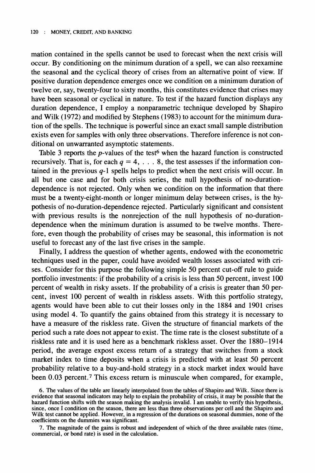**mation contained in the spells cannot be used to forecast when the next crisis will occur. By conditioning on the minimum duration of a spell, we can also reexamine the seasonal and the cyclical theory of crises from an alternative point of view. If positive duration dependence emerges once we condition on a minimum duration of twelve or, say, twenty-four to sixty months, this constitutes evidence that crises may have been seasonal or cyclical in nature. To test if the hazard function displays any duration dependence, I employ a nonparametric technique developed by Shapiro and Wilk (1972) and modified by Stephens (1983) to account for the minimum duration of the spells. The technique is powerful since an exact small sample distribution exists even for samples with only three observations. Therefore inference is not conditional on unwarranted asymptotic statements.** 

Table 3 reports the *p*-values of the test<sup>6</sup> when the hazard function is constructed **recursively.** That is, for each  $q = 4, \ldots, 8$ , the test assesses if the information contained in the previous  $q-1$  spells helps to predict when the next crisis will occur. In **all but one case and for both crisis series, the null hypothesis of no-durationdependence is not rejected. Only when we condition on the information that there must be a twenty-eight-month or longer minimum delay between crises, is the hypothesis of no-duration-dependence rejected. Particularly significant and consistent with previous results is the nonrejection of the null hypothesis of no-durationdependence when the minimum duration is assumed to be twelve months. Therefore, even though the probability of crises may be seasonal, this information is not useful to forecast any of the last five crises in the sample.** 

**Finally, I address the question of whether agents, endowed with the econometric techniques used in the paper, could have avoided wealth losses associated with crises. Consider for this purpose the following simple 50 percent cut-off rule to guide poxtfolio investments: if the probability of a crisis is less than 50 percent, invest 100 percent of wealth in risky assets. If the probability of a crisis is greater than 50 percent, invest 100 percent of wealth in riskless assets. With this portfolio strategy, agents would have been able to cut their losses only in the 1884 and 1901 crises using model 4. To quantify the gains obtained from this strategy it is necessary to have a measure of the riskless rate. Given the structure of financial markets of the period such a rate does not appear to exist. The time rate is the closest substitute of a riskless rate and it is used here as a benchmark riskless asset. Over the 1880-1914 period, the average expost excess return of a strategy that switches from a stock market index to time deposits when a crisis is predicted with at least 50 percent probability relative to a buy-and-hold strategy in a stock market index would have been 0.03 percent.7 This excess return is minuscule when compared, for example,** 

**<sup>6.</sup> The values of the table are linearly interpolated from the tables of Shapiro and Wilk. Since there is evidence that seasonal indicators may help to explain the probability of crisis, it may be possible that the hazard function shifts with the season making the analysis invalid. I am unable to verify this hypothesis, since, once I condition on the season, there are less than three observations per cell and the Shapiro and Wilk test cannot be applied. However, in a regression of the durations on seasonal dummies, none of the coefficients on the dummies was significant.** 

**<sup>7.</sup> The magnitude of the gains is robust and independent of which of the three available rates (time, commercial, or bond rate) is used in the calculation.**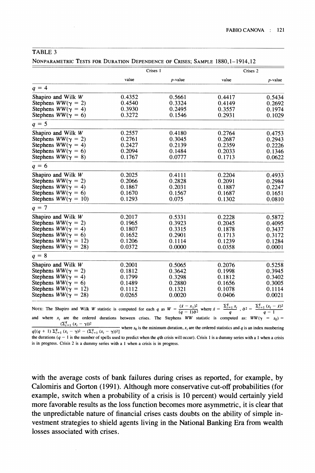#### **TABLE 3**

**NONPARAMETRIC TESTS FOR DURATION DEPENDENCE OF CRISES; SAMPLE 1880,1-1914,12** 

|                                                                                                                                                                                                                                           |        | Crises 1   |        | Crises 2   |
|-------------------------------------------------------------------------------------------------------------------------------------------------------------------------------------------------------------------------------------------|--------|------------|--------|------------|
|                                                                                                                                                                                                                                           | value  | $p$ -value | value  | $p$ -value |
| $q = 4$                                                                                                                                                                                                                                   |        |            |        |            |
| Shapiro and Wilk W                                                                                                                                                                                                                        | 0.4352 | 0.5661     | 0.4417 | 0.5434     |
| Stephens $WW(\gamma = 2)$                                                                                                                                                                                                                 | 0.4540 | 0.3324     | 0.4149 | 0.2692     |
| Stephens $WW(\gamma = 4)$                                                                                                                                                                                                                 | 0.3930 | 0.2495     | 0.3557 | 0.1974     |
| Stephens $WW(\gamma = 6)$                                                                                                                                                                                                                 | 0.3272 | 0.1546     | 0.2931 | 0.1029     |
| $q = 5$                                                                                                                                                                                                                                   |        |            |        |            |
| Shapiro and Wilk W                                                                                                                                                                                                                        | 0.2557 | 0.4180     | 0.2764 | 0.4753     |
| Stephens $WW(\gamma = 2)$                                                                                                                                                                                                                 | 0.2761 | 0.3045     | 0.2687 | 0.2943     |
| Stephens $WW(\gamma = 4)$                                                                                                                                                                                                                 | 0.2427 | 0.2139     | 0.2359 | 0.2226     |
| Stephens $WW(\gamma = 6)$                                                                                                                                                                                                                 | 0.2094 | 0.1484     | 0.2033 | 0.1346     |
| Stephens $WW(\gamma = 8)$                                                                                                                                                                                                                 | 0.1767 | 0.0777     | 0.1713 | 0.0622     |
| $q=6$                                                                                                                                                                                                                                     |        |            |        |            |
| Shapiro and Wilk W                                                                                                                                                                                                                        | 0.2025 | 0.4111     | 0.2204 | 0.4933     |
| Stephens $WW(\gamma = 2)$                                                                                                                                                                                                                 | 0.2066 | 0.2828     | 0.2091 | 0.2984     |
| Stephens $WW(\gamma = 4)$                                                                                                                                                                                                                 | 0.1867 | 0.2031     | 0.1887 | 0.2247     |
| Stephens $WW(\gamma = 6)$                                                                                                                                                                                                                 | 0.1670 | 0.1567     | 0.1687 | 0.1651     |
| Stephens $WW(\gamma = 10)$                                                                                                                                                                                                                | 0.1293 | 0.075      | 0.1302 | 0.0810     |
| $q = 7$                                                                                                                                                                                                                                   |        |            |        |            |
| Shapiro and Wilk W                                                                                                                                                                                                                        | 0.2017 | 0.5331     | 0.2228 | 0.5872     |
| Stephens $WW(\gamma = 2)$                                                                                                                                                                                                                 | 0.1965 | 0.3923     | 0.2045 | 0.4095     |
| Stephens $WW(\gamma = 4)$                                                                                                                                                                                                                 | 0.1807 | 0.3315     | 0.1878 | 0.3437     |
| Stephens $WW(\gamma = 6)$                                                                                                                                                                                                                 | 0.1652 | 0.2901     | 0.1713 | 0.3172     |
| Stephens $WW(\gamma = 12)$                                                                                                                                                                                                                | 0.1206 | 0.1114     | 0.1239 | 0.1284     |
| Stephens $WW(\gamma = 28)$                                                                                                                                                                                                                | 0.0372 | 0.0000     | 0.0358 | 0.0001     |
| $q = 8$                                                                                                                                                                                                                                   |        |            |        |            |
| Shapiro and Wilk W                                                                                                                                                                                                                        | 0.2001 | 0.5065     | 0.2076 | 0.5258     |
| Stephens $WW(\gamma = 2)$                                                                                                                                                                                                                 | 0.1812 | 0.3642     | 0.1998 | 0.3945     |
| Stephens $WW(\gamma = 4)$                                                                                                                                                                                                                 | 0.1799 | 0.3298     | 0.1812 | 0.3402     |
| Stephens $WW(\gamma = 6)$                                                                                                                                                                                                                 | 0.1489 | 0.2880     | 0.1656 | 0.3005     |
| Stephens $WW(\gamma = 12)$                                                                                                                                                                                                                | 0.1112 | 0.1321     | 0.1078 | 0.1114     |
| Stephens $WW(\gamma = 28)$                                                                                                                                                                                                                | 0.0265 | 0.0020     | 0.0406 | 0.0021     |
| NOTE: The Shapiro and Wilk W statistic is computed for each q as $W = \frac{(\bar{x} - x_1)^2}{(a - 1)\bar{\sigma}^2}$ where $\bar{x} = \frac{\sum_{i=1}^{q} x_i}{a}$ , $\bar{\sigma}^2 = \frac{\sum_{i=1}^{q} (x_i - \bar{x})^2}{a - 1}$ |        |            |        |            |

and where  $x_i$  are the ordered durations between crises. The Stephens WW statistic is computed as:  $WW(\gamma = s_0) =$   $(\sum_{i=1}^{q} (x_i - \gamma))^2$ 

 $\frac{q}{q(q+1)} \sum_{i=1}^{q} \frac{(x_i - y_i)^2 - (x_i^q - y_i)^2}{(x_i - y_i)^2}$  where  $s_0$  is the minimum duration,  $x_i$  are the ordered statistics and *q* is an index numbering

the durations  $(q-1)$  is the number of spells used to predict when the qth crisis will occur). Crisis 1 is a dummy series with a 1 when a crisis **is in progress. Crisis 2 is a dummy series with a I when a crisis is in progress.** 

**with the average costs of bank failures during crises as reported, for example, by Calomiris and Gorton (1991). Although more conservative cut-off probabilities (for example, switch when a probability of a crisis is 10 percent) would certainly yield more favorable results as the loss function becomes more asymmetric, it is clear that the unpredictable nature of financial crises casts doubts on the ability of simple investment strategies to shield agents living in the National Banking Era from wealth losses associated with crises.**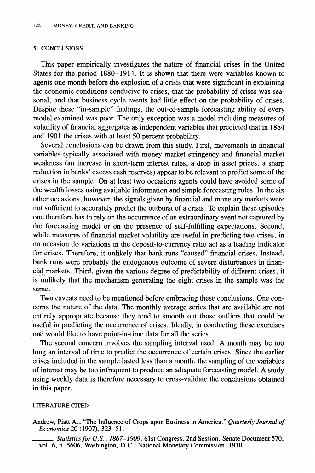#### **5. CONCLUSIONS**

**This paper empirically investigates the nature of financial crises in the United States for the period 1880-1914. It is shown that there were variables known to agents one month before the explosion of a crisis that were significant in explaining the economic conditions conducive to crises, that the probability of crises was seasonal, and that business cycle events had little effect on the probability of crises. Despite these "in-sample" findings, the out-of-sample forecasting ability of every model examined was poor. The only exception was a model including measures of volatility of financial aggregates as independent variables that predicted that in 1884 and 1901 the crises with at least 50 percent probability.** 

**Several conclusions can be drawn from this study. First, movements in financial variables typically associated with money market stringency and financial market weakness (an increase in short-term interest rates, a drop in asset prices, a sharp reduction in banks' excess cash reserves) appear to be relevant to predict some of the crises in the sample. On at least two occasions agents could have avoided some of the wealth losses using available information and simple forecasting rules. In the six other occasions, however, the signals given by financial and monetary markets were not sufficient to accurately predict the outburst of a crisis. To explain these episodes one therefore has to rely on the occurrence of an extraordinary event not captured by the forecasting model or on the presence of self-fulfilling expectations. Second, while measures of financial market volatility are useful in predicting two crises, in no occasion do variations in the deposit-to-currency ratio act as a leading indicator for crises. Therefore, it unlikely that bank runs "caused" financial crises. Instead, bank runs were probably the endogenous outcome of severe disturbances in financial markets. Third, given the various degree of predictability of different crises, it is unlikely that the mechanism generating the eight crises in the sample was the same.** 

**Two caveats need to be mentioned before embracing these conclusions. One concerns the nature of the data. The monthly average series that are available are not entirely appropriate because they tend to smooth out those outliers that could be useful in predicting the occurrence of crises. Ideally, in conducting these exercises :; . one would like to have point-in-time data for all the series.** 

**The second concern involves the sampling interval used. A month may be too long an interval of time to predict the occurrence of certain crises. Since the earlier crises included in the sample lasted less than a month, the sampling of the variables of interest may be too infrequent to produce an adequate forecasting model. A study using weekly data is therefore necessary to cross-validate the conclusions obtained in this paper.** 

#### **LITERATURE CITED**

**Andrew, Piatt A., "The Influence of Crops upon Business in America." Quarterly Journal of Economics 20 ( 1907), 323-51.** 

**. Statisticsfor U.S., 1867-1909. 61st Congress, 2nd Session, Senate Document 570, vol. 6, n. 5606, Washington, D.C.: National Monetary Commission, 1910.**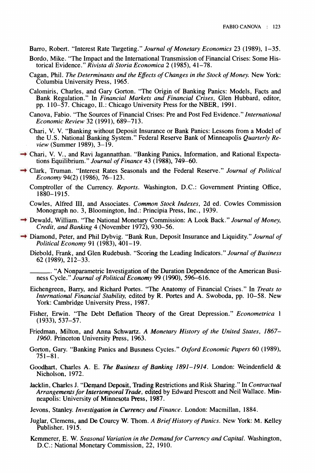- **Barro, Robert. "Interest Rate Targeting." Journal of Monetary Economics 23 (1989), 1-35.**
- **Bordo, Mike. "The Impact and the International Transmission of Financial Crises: Some Historical Evidence." Rivista di Storia Economica 2 (1985), 41-78.**
- **Cagan, Phil. The Determinants and the Effects of Changes in the Stock of Money. New York: Columbia University Press, 1965.**
- **Calomiris, Charles, and Gary Gorton. "The Origin of Banking Panics: Models, Facts and Bank Regulation." In Financial Markets and Financial Crises, Glen Hubbard, editor, pp. 110-57. Chicago, Il.: Chicago University Press for the NBER, 1991.**

**Canova, Fabio. "The Sources of Financial Crises: Pre and Post Fed Evidence." International Economic Review 32 (1991), 689-713.** 

**Chari, V. V. "Banking without Deposit Insurance or Bank Panics: Lessons from a Model of the U.S. National Banking System." Federal Reserve Bank of Minneapolis Quarterly Review (Summer 1989), 3- 19.** 

- → Chari, V. V., and Ravi Jagannatthan. "Banking Panics, Information, and Rational Expecta**tions Equilibrium." Journal of Finance 43 (1988), 749-60.**
- → Clark, Truman. "Interest Rates Seasonals and the Federal Reserve." Journal of Political **Economy 94(2) (1986), 76- 123.** 
	- **Comptroller of the Currency. Reports. Washington, I).C.: Government Printing Office, 1880-1915.**
	- **Cowles, Alfred III, and Associates. Common Stock Indexes, 2d ed. Cowles Commission Monograph no. 3, Bloomington, Ind.: Principia Press, Inc., 1939**
- → Dewald, William. "The National Monetary Commission: A Look Back." *Journal of Money*, **Credit, and Banking 4 (November 1972), 930-56.**
- → Diamond, Peter, and Phil Dybvig. "Bank Run, Deposit Insurance and Liquidity." *Journal of* **Political Economy 9 l ( 1983), 401 - 19.** 
	- Diebold, Frank, and Glen Rudebush. "Scoring the Leading Indicators." *Journal of Business* **62** (1989), 212-33.
		- **. "A Nonparametric Investigation of the Duration Dependence of the American Business Cycle." Journal of Political Ecoxomy 99 (1990), 596-616.**
	- Eichengreen, Barry, and Richard Portes. "The Anatomy of Financial Crises." In *Treats to* **International Financial Stability, edited by R. Portes and A. Swoboda, pp. 10-58. New York: Cambridge University Press, 1987.**
	- Fisher, Erwin. "The Debt Deflation Theory of the Great Depression." *Econometrica* 1 **( I 933), 537\_57.**
	- **Friedman, Milton, and Anna Schwartz. A Monetary AIistory of the United States, 1867- 1960. Princeton University Press, 1963.**
	- Gorton, Gary. "Banking Panics and Business Cycles." Oxford Economic Papers 60 (1989), **751-81.**
	- **Good}lart, Charles A. E. The Business of Banking 1891-1914. London: Weindenfield & Niciolson, 19?2.**
	- **Jacklin, Charles J. "Demand Deposit, Trading Restrictions and Risk Sharing." In** *Contractual* Arrangements for Intertemporal Trade, edited by Edward Prescott and Neil Wallace. Minneapolis: University of Minnesota Press, 1987.
	- **Jevons, Stanley. Investigation in Currency and Finance. London: Macmillan, 1884.**
	- **Juglar, Clemens, and De Courcy W. Thom. A Brief History of Panics. New York: M. Kelley Publisher. 1915.**
	- **Kemmerer, E. W. Seasonal Variation in the Demand for Currency and Capital. Washington, D. C .: National Monetary Commission, 22, 1910.**